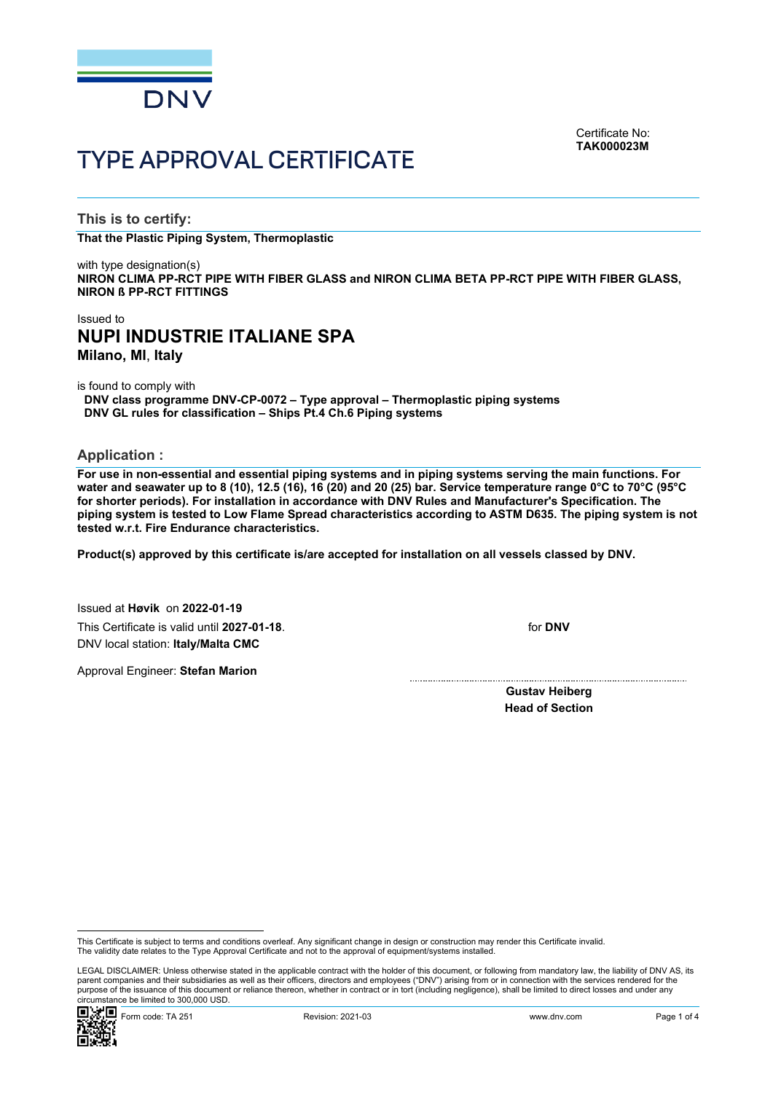

Certificate No: **TAK000023M**

# TYPE APPROVAL CERTIFICATE

**This is to certify:**

**That the Plastic Piping System, Thermoplastic**

with type designation(s) **NIRON CLIMA PP-RCT PIPE WITH FIBER GLASS and NIRON CLIMA BETA PP-RCT PIPE WITH FIBER GLASS, NIRON ß PP-RCT FITTINGS**

# Issued to **NUPI INDUSTRIE ITALIANE SPA Milano, MI**, **Italy**

is found to comply with

**DNV class programme DNV-CP-0072 – Type approval – Thermoplastic piping systems DNV GL rules for classification – Ships Pt.4 Ch.6 Piping systems**

**Application :**

**For use in non-essential and essential piping systems and in piping systems serving the main functions. For water and seawater up to 8 (10), 12.5 (16), 16 (20) and 20 (25) bar. Service temperature range 0°C to 70°C (95°C for shorter periods). For installation in accordance with DNV Rules and Manufacturer's Specification. The piping system is tested to Low Flame Spread characteristics according to ASTM D635. The piping system is not tested w.r.t. Fire Endurance characteristics.**

**Product(s) approved by this certificate is/are accepted for installation on all vessels classed by DNV.**

Issued at **Høvik** on **2022-01-19** This Certificate is valid until **2027-01-18**. DNV local station: **Italy/Malta CMC**

Approval Engineer: **Stefan Marion**

for **DNV**

**Gustav Heiberg Head of Section**

 LEGAL DISCLAIMER: Unless otherwise stated in the applicable contract with the holder of this document, or following from mandatory law, the liability of DNV AS, its parent companies and their subsidiaries as well as their officers, directors and employees ("DNV") arising from or in connection with the services rendered for the purpose of the issuance of this document or reliance thereon, whether in contract or in tort (including negligence), shall be limited to direct losses and under any circumstance be limited to 300,000 USD.



This Certificate is subject to terms and conditions overleaf. Any significant change in design or construction may render this Certificate invalid.<br>The validity date relates to the Type Approval Certificate and not to the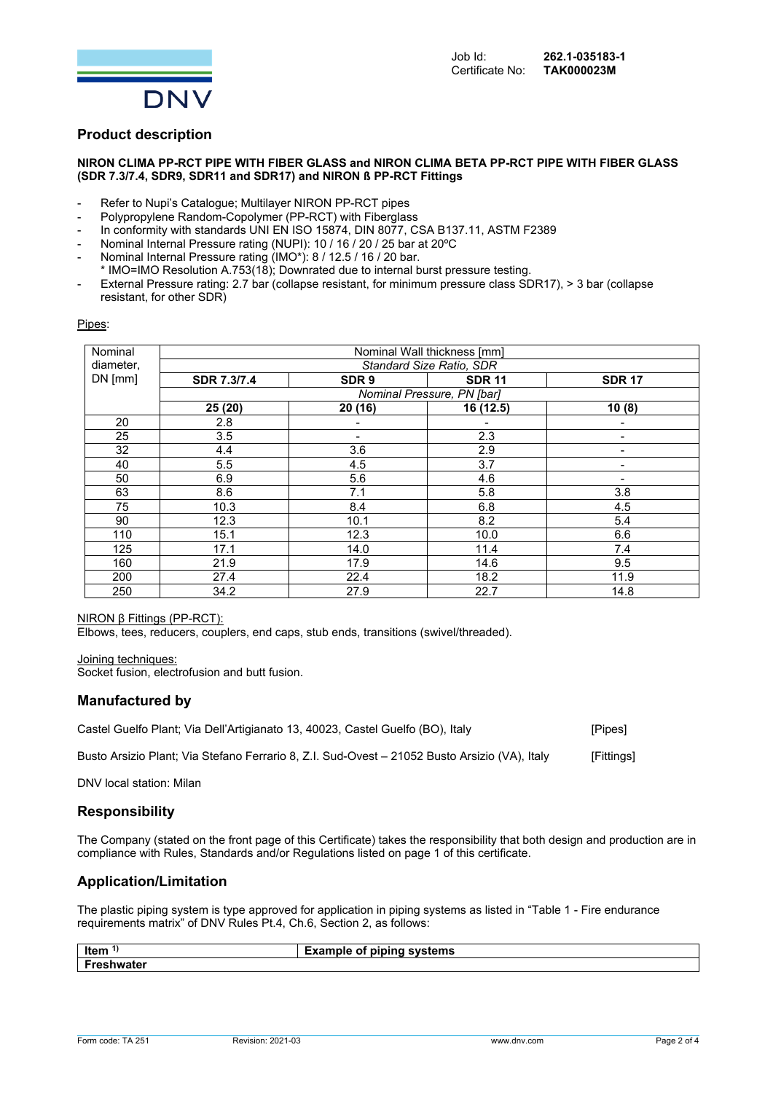

# **Product description**

### **NIRON CLIMA PP-RCT PIPE WITH FIBER GLASS and NIRON CLIMA BETA PP-RCT PIPE WITH FIBER GLASS (SDR 7.3/7.4, SDR9, SDR11 and SDR17) and NIRON ß PP-RCT Fittings**

- Refer to Nupi's Catalogue; Multilayer NIRON PP-RCT pipes
- Polypropylene Random-Copolymer (PP-RCT) with Fiberglass
- In conformity with standards UNI EN ISO 15874, DIN 8077, CSA B137.11, ASTM F2389
- Nominal Internal Pressure rating (NUPI): 10 / 16 / 20 / 25 bar at 20°C
- Nominal Internal Pressure rating (IMO\*): 8 / 12.5 / 16 / 20 bar.
- \* IMO=IMO Resolution A.753(18); Downrated due to internal burst pressure testing.
- External Pressure rating: 2.7 bar (collapse resistant, for minimum pressure class SDR17), > 3 bar (collapse resistant, for other SDR)

#### Pipes:

| Nominal   | Nominal Wall thickness [mm]<br>Standard Size Ratio, SDR |                          |               |                          |  |
|-----------|---------------------------------------------------------|--------------------------|---------------|--------------------------|--|
| diameter, |                                                         |                          |               |                          |  |
| DN [mm]   | SDR 7.3/7.4                                             | SDR <sub>9</sub>         | <b>SDR 11</b> | <b>SDR 17</b>            |  |
|           | Nominal Pressure, PN [bar]                              |                          |               |                          |  |
|           | 25 (20)                                                 | 20 (16)                  | 16 (12.5)     | 10(8)                    |  |
| 20        | 2.8                                                     |                          |               |                          |  |
| 25        | 3.5                                                     | $\overline{\phantom{a}}$ | 2.3           | -                        |  |
| 32        | 4.4                                                     | 3.6                      | 2.9           | -                        |  |
| 40        | 5.5                                                     | 4.5                      | 3.7           | -                        |  |
| 50        | 6.9                                                     | 5.6                      | 4.6           | $\overline{\phantom{0}}$ |  |
| 63        | 8.6                                                     | 7.1                      | 5.8           | 3.8                      |  |
| 75        | 10.3                                                    | 8.4                      | 6.8           | 4.5                      |  |
| 90        | 12.3                                                    | 10.1                     | 8.2           | 5.4                      |  |
| 110       | 15.1                                                    | 12.3                     | 10.0          | 6.6                      |  |
| 125       | 17.1                                                    | 14.0                     | 11.4          | 7.4                      |  |
| 160       | 21.9                                                    | 17.9                     | 14.6          | 9.5                      |  |
| 200       | 27.4                                                    | 22.4                     | 18.2          | 11.9                     |  |
| 250       | 34.2                                                    | 27.9                     | 22.7          | 14.8                     |  |

#### NIRON β Fittings (PP-RCT):

Elbows, tees, reducers, couplers, end caps, stub ends, transitions (swivel/threaded).

Joining techniques:

Socket fusion, electrofusion and butt fusion.

## **Manufactured by**

| Castel Guelfo Plant; Via Dell'Artigianato 13, 40023, Castel Guelfo (BO), Italy                | [Pipes]    |
|-----------------------------------------------------------------------------------------------|------------|
| Busto Arsizio Plant; Via Stefano Ferrario 8, Z.I. Sud-Ovest – 21052 Busto Arsizio (VA), Italy | [Fittings] |

DNV local station: Milan

# **Responsibility**

The Company (stated on the front page of this Certificate) takes the responsibility that both design and production are in compliance with Rules, Standards and/or Regulations listed on page 1 of this certificate.

# **Application/Limitation**

The plastic piping system is type approved for application in piping systems as listed in "Table 1 - Fire endurance requirements matrix" of DNV Rules Pt.4, Ch.6, Section 2, as follows:

| Item   | <i>≣</i> xample<br>of piping systems ( |
|--------|----------------------------------------|
| ıwater |                                        |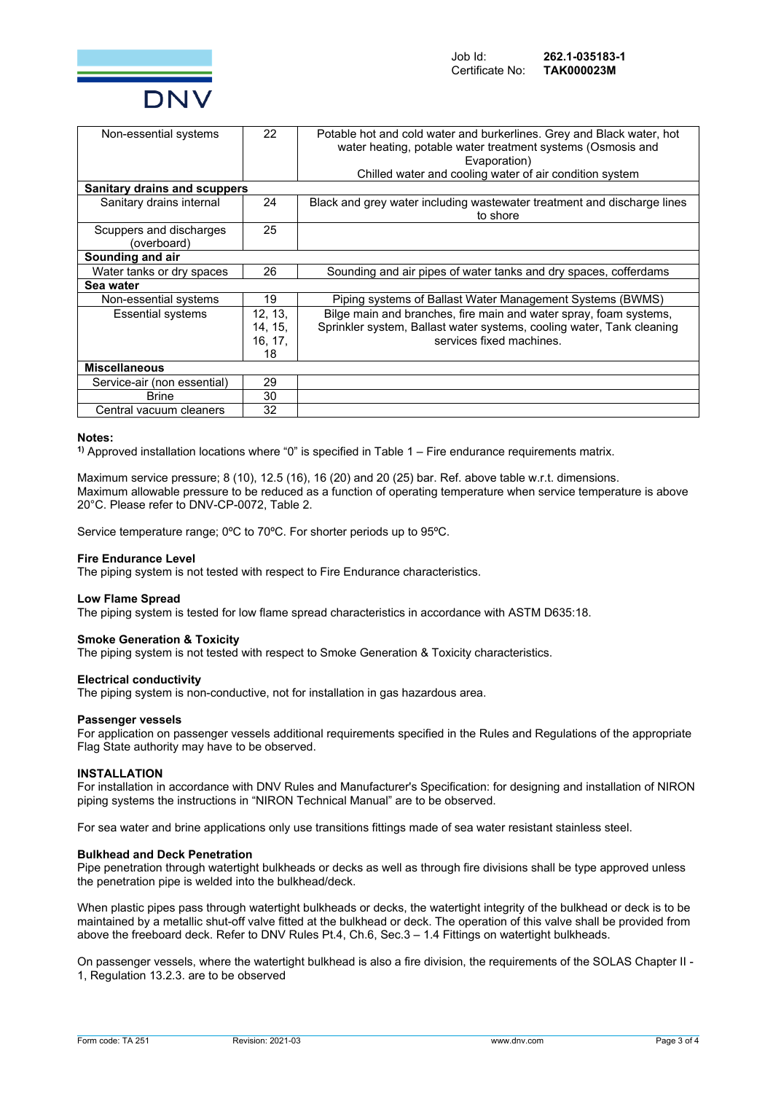

| Non-essential systems                  | 22      | Potable hot and cold water and burkerlines. Grey and Black water, hot<br>water heating, potable water treatment systems (Osmosis and<br>Evaporation)<br>Chilled water and cooling water of air condition system |  |  |  |  |
|----------------------------------------|---------|-----------------------------------------------------------------------------------------------------------------------------------------------------------------------------------------------------------------|--|--|--|--|
| <b>Sanitary drains and scuppers</b>    |         |                                                                                                                                                                                                                 |  |  |  |  |
| Sanitary drains internal               | 24      | Black and grey water including wastewater treatment and discharge lines<br>to shore                                                                                                                             |  |  |  |  |
| Scuppers and discharges<br>(overboard) | 25      |                                                                                                                                                                                                                 |  |  |  |  |
| Sounding and air                       |         |                                                                                                                                                                                                                 |  |  |  |  |
| Water tanks or dry spaces              | 26      | Sounding and air pipes of water tanks and dry spaces, cofferdams                                                                                                                                                |  |  |  |  |
| Sea water                              |         |                                                                                                                                                                                                                 |  |  |  |  |
| Non-essential systems                  | 19      | Piping systems of Ballast Water Management Systems (BWMS)                                                                                                                                                       |  |  |  |  |
| <b>Essential systems</b>               | 12, 13, | Bilge main and branches, fire main and water spray, foam systems,                                                                                                                                               |  |  |  |  |
|                                        | 14, 15, | Sprinkler system, Ballast water systems, cooling water, Tank cleaning                                                                                                                                           |  |  |  |  |
|                                        | 16, 17, | services fixed machines.                                                                                                                                                                                        |  |  |  |  |
|                                        | 18      |                                                                                                                                                                                                                 |  |  |  |  |
| <b>Miscellaneous</b>                   |         |                                                                                                                                                                                                                 |  |  |  |  |
| Service-air (non essential)            | 29      |                                                                                                                                                                                                                 |  |  |  |  |
| <b>Brine</b>                           | 30      |                                                                                                                                                                                                                 |  |  |  |  |
| Central vacuum cleaners                | 32      |                                                                                                                                                                                                                 |  |  |  |  |

#### **Notes:**

**1)** Approved installation locations where "0" is specified in Table 1 – Fire endurance requirements matrix.

Maximum service pressure; 8 (10), 12.5 (16), 16 (20) and 20 (25) bar. Ref. above table w.r.t. dimensions. Maximum allowable pressure to be reduced as a function of operating temperature when service temperature is above 20°C. Please refer to DNV-CP-0072, Table 2.

Service temperature range; 0ºC to 70ºC. For shorter periods up to 95ºC.

#### **Fire Endurance Level**

The piping system is not tested with respect to Fire Endurance characteristics.

#### **Low Flame Spread**

The piping system is tested for low flame spread characteristics in accordance with ASTM D635:18.

#### **Smoke Generation & Toxicity**

The piping system is not tested with respect to Smoke Generation & Toxicity characteristics.

#### **Electrical conductivity**

The piping system is non-conductive, not for installation in gas hazardous area.

#### **Passenger vessels**

For application on passenger vessels additional requirements specified in the Rules and Regulations of the appropriate Flag State authority may have to be observed.

## **INSTALLATION**

For installation in accordance with DNV Rules and Manufacturer's Specification: for designing and installation of NIRON piping systems the instructions in "NIRON Technical Manual" are to be observed.

For sea water and brine applications only use transitions fittings made of sea water resistant stainless steel.

#### **Bulkhead and Deck Penetration**

Pipe penetration through watertight bulkheads or decks as well as through fire divisions shall be type approved unless the penetration pipe is welded into the bulkhead/deck.

When plastic pipes pass through watertight bulkheads or decks, the watertight integrity of the bulkhead or deck is to be maintained by a metallic shut-off valve fitted at the bulkhead or deck. The operation of this valve shall be provided from above the freeboard deck. Refer to DNV Rules Pt.4, Ch.6, Sec.3 – 1.4 Fittings on watertight bulkheads.

On passenger vessels, where the watertight bulkhead is also a fire division, the requirements of the SOLAS Chapter II - 1, Regulation 13.2.3. are to be observed